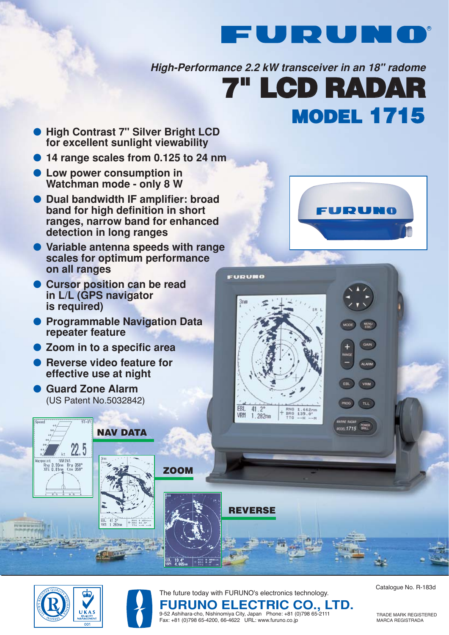

**High-Performance 2.2 kW transceiver in an 18" radome**

# **MODEL 1715 7" LCD RADAR**

- **High Contrast 7" Silver Bright LCD for excellent sunlight viewability**
- **14 range scales from 0.125 to 24 nm**
- **Low power consumption in Watchman mode - only 8 W**
- **Dual bandwidth IF amplifier: broad band for high definition in short ranges, narrow band for enhanced detection in long ranges**
- **Variable antenna speeds with range scales for optimum performance on all ranges**
- **Cursor position can be read in L/L (GPS navigator is required)**
- **Programmable Navigation Data repeater feature**

**NAV DATA**

- **Zoom in to a specific area**
- **Reverse video feature for effective use at night**
- **Guard Zone Alarm** (US Patent No.5032842)

 $\frac{22.5}{ }$ **HAR INA** Rng 3.59nm Brg 358°<br>XTE 0.01nm Cse 359°



**VRM** 

**TLL** 

 $01715$ 





 $+$  ANG 1.60

**ZOOM**

 $+$   $^{RHS}_{BRO}$  0.0

The future today with FURUNO's electronics technology.

**REVERSE**

 $EBL$   $41.2^\circ$ 

VRM 1.282nm

 $+$  RNO 1.662nm<br>+ BRG 135.0\*<br>TTG --H --M

FURUMO

3ns

Catalogue No. R-183d

TRADE MARK REGISTERED MARCA REGISTRADA

**FURUNO ELECTRIC CO., LTD.** 9-52 Ashihara-cho, Nishinomiya City, Japan Phone: +81 (0)798 65-2111 Fax: +81 (0)798 65-4200, 66-4622 URL: www.furuno.co.jp